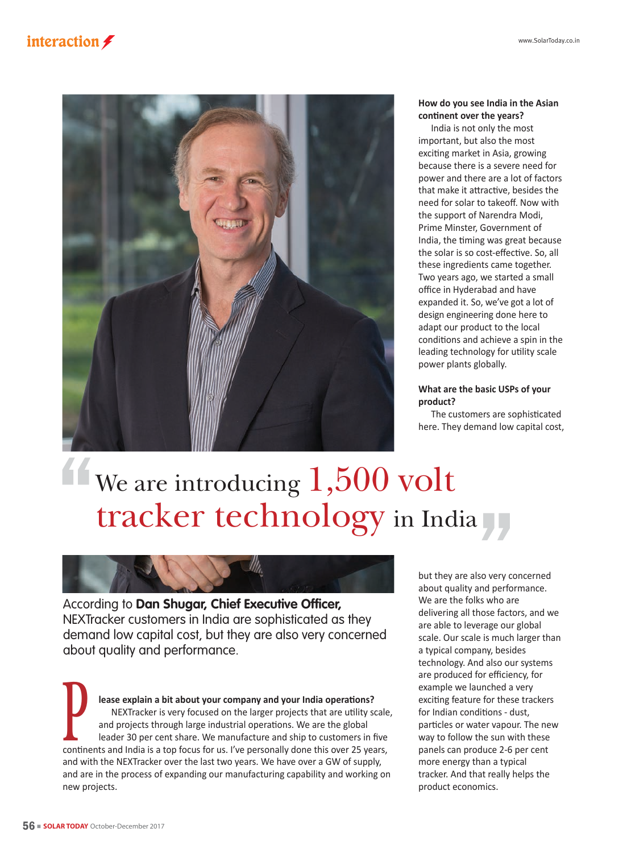



### **How do you see India in the Asian continent over the years?**

India is not only the most important, but also the most exciting market in Asia, growing because there is a severe need for power and there are a lot of factors that make it attractive, besides the need for solar to takeoff. Now with the support of Narendra Modi, Prime Minster, Government of India, the timing was great because the solar is so cost-effective. So, all these ingredients came together. Two years ago, we started a small office in Hyderabad and have expanded it. So, we've got a lot of design engineering done here to adapt our product to the local conditions and achieve a spin in the leading technology for utility scale power plants globally.

# **What are the basic USPs of your product?**

The customers are sophisticated here. They demand low capital cost,

# We are introducing  $1,500$  volt tracker technology in India



According to **Dan Shugar, Chief Executive Officer,** NEXTracker customers in India are sophisticated as they demand low capital cost, but they are also very concerned about quality and performance.

**lease explain a bit about your company and your India operations?**  NEXTracker is very focused on the larger projects that are utility scale, and projects through large industrial operations. We are the global leader 30 per cent share. We manufacture and ship to customers in five NEXTracker is very focused on the larger projects that are utility scale<br>and projects through large industrial operations. We are the global<br>leader 30 per cent share. We manufacture and ship to customers in five<br>continents and with the NEXTracker over the last two years. We have over a GW of supply, and are in the process of expanding our manufacturing capability and working on new projects.

but they are also very concerned about quality and performance. We are the folks who are delivering all those factors, and we are able to leverage our global scale. Our scale is much larger than a typical company, besides technology. And also our systems are produced for efficiency, for example we launched a very exciting feature for these trackers for Indian conditions - dust, particles or water vapour. The new way to follow the sun with these panels can produce 2-6 per cent more energy than a typical tracker. And that really helps the product economics.